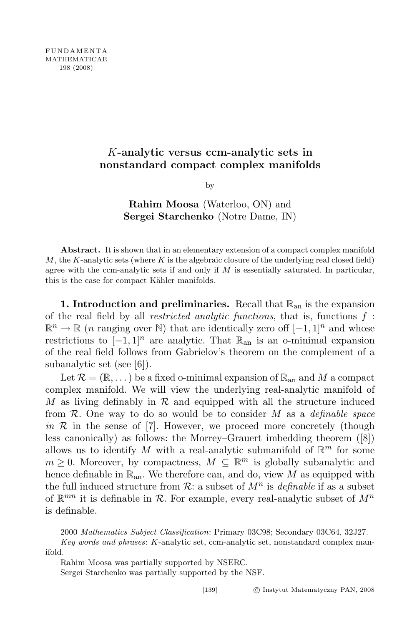## K-analytic versus ccm-analytic sets in nonstandard compact complex manifolds

by

Rahim Moosa (Waterloo, ON) and Sergei Starchenko (Notre Dame, IN)

Abstract. It is shown that in an elementary extension of a compact complex manifold M, the K-analytic sets (where K is the algebraic closure of the underlying real closed field) agree with the ccm-analytic sets if and only if  $M$  is essentially saturated. In particular, this is the case for compact Kähler manifolds.

1. Introduction and preliminaries. Recall that  $\mathbb{R}_{an}$  is the expansion of the real field by all *restricted analytic functions*, that is, functions  $f$ :  $\mathbb{R}^n \to \mathbb{R}$  (*n* ranging over N) that are identically zero off  $[-1, 1]^n$  and whose restrictions to  $[-1, 1]^n$  are analytic. That  $\mathbb{R}_{\text{an}}$  is an o-minimal expansion of the real field follows from Gabrielov's theorem on the complement of a subanalytic set (see [6]).

Let  $\mathcal{R} = (\mathbb{R}, \dots)$  be a fixed o-minimal expansion of  $\mathbb{R}_{\text{an}}$  and M a compact complex manifold. We will view the underlying real-analytic manifold of M as living definably in  $\mathcal R$  and equipped with all the structure induced from  $\mathcal{R}$ . One way to do so would be to consider M as a *definable space* in  $\mathcal R$  in the sense of [7]. However, we proceed more concretely (though less canonically) as follows: the Morrey–Grauert imbedding theorem ([8]) allows us to identify M with a real-analytic submanifold of  $\mathbb{R}^m$  for some  $m \geq 0$ . Moreover, by compactness,  $M \subseteq \mathbb{R}^m$  is globally subanalytic and hence definable in  $\mathbb{R}_{an}$ . We therefore can, and do, view M as equipped with the full induced structure from  $\mathcal{R}$ : a subset of  $M^n$  is *definable* if as a subset of  $\mathbb{R}^{mn}$  it is definable in  $\mathcal{R}$ . For example, every real-analytic subset of  $M^n$ is definable.

<sup>2000</sup> Mathematics Subject Classification: Primary 03C98; Secondary 03C64, 32J27. Key words and phrases: K-analytic set, ccm-analytic set, nonstandard complex man-

ifold.

Rahim Moosa was partially supported by NSERC.

Sergei Starchenko was partially supported by the NSF.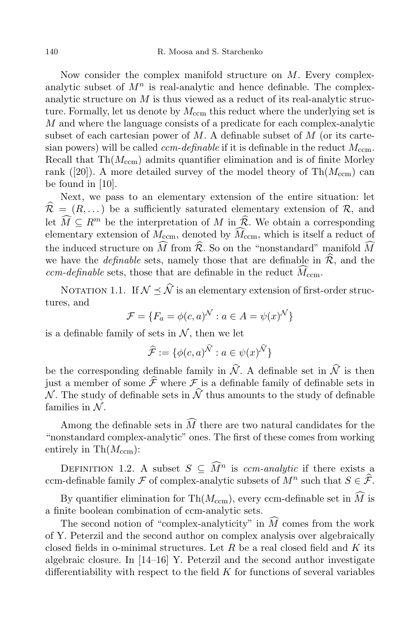Now consider the complex manifold structure on M. Every complexanalytic subset of  $M^n$  is real-analytic and hence definable. The complexanalytic structure on M is thus viewed as a reduct of its real-analytic structure. Formally, let us denote by  $M_{\text{ccm}}$  this reduct where the underlying set is  $M$  and where the language consists of a predicate for each complex-analytic subset of each cartesian power of  $M$ . A definable subset of  $M$  (or its cartesian powers) will be called *ccm-definable* if it is definable in the reduct  $M_{\text{ccm}}$ . Recall that  $\text{Th}(M_{\text{ccm}})$  admits quantifier elimination and is of finite Morley rank ([20]). A more detailed survey of the model theory of  $\text{Th}(M_{\text{ccm}})$  can be found in [10].

Next, we pass to an elementary extension of the entire situation: let  $\mathcal{R} = (R, \dots)$  be a sufficiently saturated elementary extension of R, and let  $\widehat{M} \subseteq R^m$  be the interpretation of M in  $\widehat{R}$ . We obtain a corresponding elementary extension of  $M_{\text{ccm}}$ , denoted by  $\widehat{M}_{\text{ccm}}$ , which is itself a reduct of the induced structure on  $\widehat{M}$  from  $\widehat{\mathcal{R}}$ . So on the "nonstandard" manifold  $\widehat{M}$ we have the *definable* sets, namely those that are definable in  $\hat{\mathcal{R}}$ , and the ccm-definable sets, those that are definable in the reduct  $\widehat{M}_{\text{ccm}}$ .

NOTATION 1.1. If  $\mathcal{N} \prec \widehat{\mathcal{N}}$  is an elementary extension of first-order structures, and

$$
\mathcal{F} = \{F_a = \phi(c, a)^{\mathcal{N}} : a \in A = \psi(x)^{\mathcal{N}}\}
$$

is a definable family of sets in  $N$ , then we let

$$
\widehat{\mathcal{F}}:=\{\phi(c,a)^{\widehat{\mathcal{N}}}:a\in\psi(x)^{\widehat{\mathcal{N}}}\}
$$

be the corresponding definable family in  $\widehat{\mathcal{N}}$ . A definable set in  $\widehat{\mathcal{N}}$  is then just a member of some  $\hat{\mathcal{F}}$  where  $\mathcal F$  is a definable family of definable sets in N. The study of definable sets in  $\hat{N}$  thus amounts to the study of definable families in  $\mathcal{N}$ .

Among the definable sets in  $\widehat{M}$  there are two natural candidates for the "nonstandard complex-analytic" ones. The first of these comes from working entirely in  $\text{Th}(M_{\text{ccm}})$ :

DEFINITION 1.2. A subset  $S \subseteq \widehat{M}^n$  is com-analytic if there exists a ccm-definable family  $\mathcal F$  of complex-analytic subsets of  $M^n$  such that  $S \in \widehat{\mathcal F}$ .

By quantifier elimination for Th $(M_{\text{ccm}})$ , every ccm-definable set in  $\widehat{M}$  is a finite boolean combination of ccm-analytic sets.

The second notion of "complex-analyticity" in  $\tilde{M}$  comes from the work of Y. Peterzil and the second author on complex analysis over algebraically closed fields in o-minimal structures. Let R be a real closed field and K its algebraic closure. In  $[14-16]$  Y. Peterzil and the second author investigate differentiability with respect to the field  $K$  for functions of several variables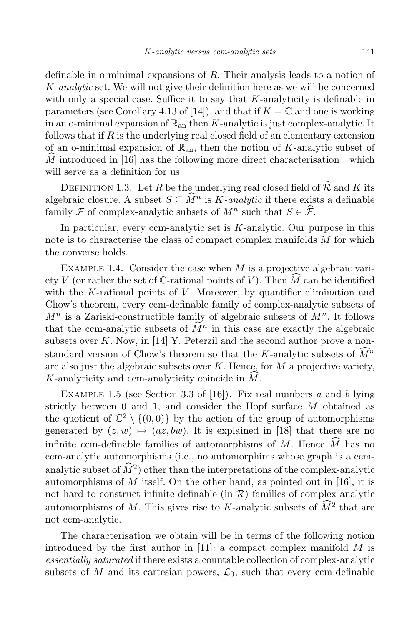definable in o-minimal expansions of R. Their analysis leads to a notion of K-analytic set. We will not give their definition here as we will be concerned with only a special case. Suffice it to say that  $K$ -analyticity is definable in parameters (see Corollary 4.13 of [14]), and that if  $K = \mathbb{C}$  and one is working in an o-minimal expansion of  $\mathbb{R}_{an}$  then K-analytic is just complex-analytic. It follows that if  $R$  is the underlying real closed field of an elementary extension of an o-minimal expansion of  $\mathbb{R}_{\text{an}}$ , then the notion of K-analytic subset of  $\overline{M}$  introduced in [16] has the following more direct characterisation—which will serve as a definition for us.

DEFINITION 1.3. Let R be the underlying real closed field of  $\widehat{\mathcal{R}}$  and K its algebraic closure. A subset  $S \subseteq M^n$  is K-analytic if there exists a definable family  $\mathcal F$  of complex-analytic subsets of  $M^n$  such that  $S \in \mathcal F$ .

In particular, every ccm-analytic set is  $K$ -analytic. Our purpose in this note is to characterise the class of compact complex manifolds  $M$  for which the converse holds.

EXAMPLE 1.4. Consider the case when  $M$  is a projective algebraic variety V (or rather the set of  $\mathbb{C}$ -rational points of V). Then M can be identified with the K-rational points of  $V$ . Moreover, by quantifier elimination and Chow's theorem, every ccm-definable family of complex-analytic subsets of  $M^n$  is a Zariski-constructible family of algebraic subsets of  $M^n$ . It follows that the ccm-analytic subsets of  $\tilde{M}^n$  in this case are exactly the algebraic subsets over  $K$ . Now, in [14] Y. Peterzil and the second author prove a nonstandard version of Chow's theorem so that the K-analytic subsets of  $\tilde{M}^n$ are also just the algebraic subsets over  $K$ . Hence, for  $M$  a projective variety,  $K$ -analyticity and ccm-analyticity coincide in  $M$ .

EXAMPLE 1.5 (see Section 3.3 of [16]). Fix real numbers a and b lying strictly between 0 and 1, and consider the Hopf surface M obtained as the quotient of  $\mathbb{C}^2 \setminus \{(0,0)\}$  by the action of the group of automorphisms generated by  $(z, w) \mapsto (az, bw)$ . It is explained in [18] that there are no infinite ccm-definable families of automorphisms of M. Hence  $\hat{M}$  has no ccm-analytic automorphisms (i.e., no automorphims whose graph is a ccmanalytic subset of  $\tilde{M}^2$ ) other than the interpretations of the complex-analytic automorphisms of  $M$  itself. On the other hand, as pointed out in [16], it is not hard to construct infinite definable (in  $\mathcal{R}$ ) families of complex-analytic automorphisms of M. This gives rise to K-analytic subsets of  $\widehat{M}^2$  that are not ccm-analytic.

The characterisation we obtain will be in terms of the following notion introduced by the first author in [11]: a compact complex manifold  $M$  is essentially saturated if there exists a countable collection of complex-analytic subsets of M and its cartesian powers,  $\mathcal{L}_0$ , such that every ccm-definable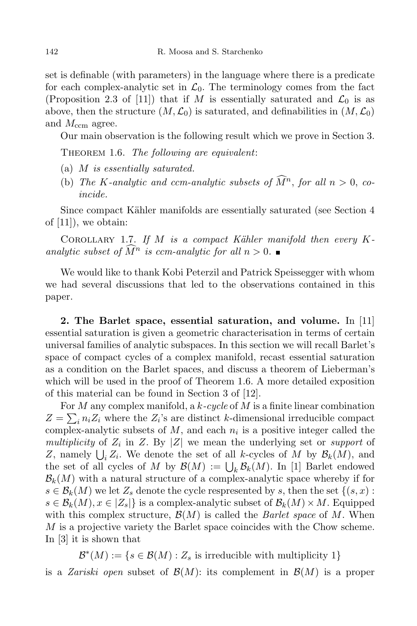set is definable (with parameters) in the language where there is a predicate for each complex-analytic set in  $\mathcal{L}_0$ . The terminology comes from the fact (Proposition 2.3 of [11]) that if M is essentially saturated and  $\mathcal{L}_0$  is as above, then the structure  $(M, \mathcal{L}_0)$  is saturated, and definabilities in  $(M, \mathcal{L}_0)$ and  $M_{\text{ccm}}$  agree.

Our main observation is the following result which we prove in Section 3.

THEOREM 1.6. The following are equivalent:

- (a) M is essentially saturated.
- (b) The K-analytic and ccm-analytic subsets of  $\tilde{M}^n$ , for all  $n > 0$ , coincide.

Since compact Kähler manifolds are essentially saturated (see Section 4 of [11]), we obtain:

COROLLARY 1.7. If M is a compact Kähler manifold then every  $K$ analytic subset of  $\tilde{M}^n$  is ccm-analytic for all  $n > 0$ .

We would like to thank Kobi Peterzil and Patrick Speissegger with whom we had several discussions that led to the observations contained in this paper.

2. The Barlet space, essential saturation, and volume. In [11] essential saturation is given a geometric characterisation in terms of certain universal families of analytic subspaces. In this section we will recall Barlet's space of compact cycles of a complex manifold, recast essential saturation as a condition on the Barlet spaces, and discuss a theorem of Lieberman's which will be used in the proof of Theorem 1.6. A more detailed exposition of this material can be found in Section 3 of [12].

For M any complex manifold, a  $k$ -cycle of M is a finite linear combination  $Z = \sum_i n_i Z_i$  where the  $Z_i$ 's are distinct k-dimensional irreducible compact complex-analytic subsets of  $M$ , and each  $n_i$  is a positive integer called the multiplicity of  $Z_i$  in  $Z$ . By  $|Z|$  we mean the underlying set or *support* of Z, namely  $\bigcup_i Z_i$ . We denote the set of all k-cycles of M by  $\mathcal{B}_k(M)$ , and the set of all cycles of M by  $\mathcal{B}(M) := \bigcup_k \mathcal{B}_k(M)$ . In [1] Barlet endowed  $\mathcal{B}_k(M)$  with a natural structure of a complex-analytic space whereby if for  $s \in \mathcal{B}_k(M)$  we let  $Z_s$  denote the cycle respresented by s, then the set  $\{(s, x) :$  $s \in \mathcal{B}_k(M), x \in |Z_s|\}$  is a complex-analytic subset of  $\mathcal{B}_k(M) \times M$ . Equipped with this complex structure,  $\mathcal{B}(M)$  is called the *Barlet space* of M. When M is a projective variety the Barlet space coincides with the Chow scheme. In [3] it is shown that

 $\mathcal{B}^*(M) := \{ s \in \mathcal{B}(M) : Z_s \text{ is irreducible with multiplicity } 1 \}$ is a *Zariski open* subset of  $\mathcal{B}(M)$ : its complement in  $\mathcal{B}(M)$  is a proper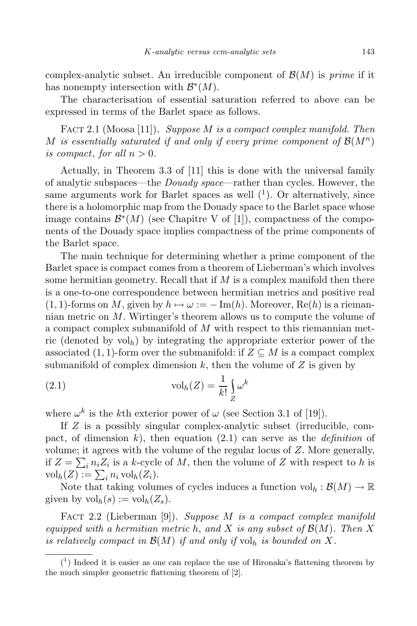complex-analytic subset. An irreducible component of  $\mathcal{B}(M)$  is *prime* if it has nonempty intersection with  $\mathcal{B}^*(M)$ .

The characterisation of essential saturation referred to above can be expressed in terms of the Barlet space as follows.

FACT 2.1 (Moosa [11]). Suppose  $M$  is a compact complex manifold. Then M is essentially saturated if and only if every prime component of  $\mathcal{B}(M^n)$ is compact, for all  $n > 0$ .

Actually, in Theorem 3.3 of [11] this is done with the universal family of analytic subspaces—the Douady space—rather than cycles. However, the same arguments work for Barlet spaces as well  $(1)$ . Or alternatively, since there is a holomorphic map from the Douady space to the Barlet space whose image contains  $\mathcal{B}^*(M)$  (see Chapitre V of [1]), compactness of the components of the Douady space implies compactness of the prime components of the Barlet space.

The main technique for determining whether a prime component of the Barlet space is compact comes from a theorem of Lieberman's which involves some hermitian geometry. Recall that if  $M$  is a complex manifold then there is a one-to-one correspondence between hermitian metrics and positive real  $(1, 1)$ -forms on M, given by  $h \mapsto \omega := -\text{Im}(h)$ . Moreover, Re $(h)$  is a riemannian metric on M. Wirtinger's theorem allows us to compute the volume of a compact complex submanifold of M with respect to this riemannian metric (denoted by  $vol<sub>h</sub>$ ) by integrating the appropriate exterior power of the associated (1, 1)-form over the submanifold: if  $Z \subseteq M$  is a compact complex submanifold of complex dimension  $k$ , then the volume of  $Z$  is given by

(2.1) 
$$
\operatorname{vol}_h(Z) = \frac{1}{k!} \int_Z \omega^k
$$

where  $\omega^k$  is the kth exterior power of  $\omega$  (see Section 3.1 of [19]).

If Z is a possibly singular complex-analytic subset (irreducible, compact, of dimension k), then equation (2.1) can serve as the *definition* of volume; it agrees with the volume of the regular locus of  $Z$ . More generally, if  $Z = \sum_i n_i Z_i$  is a k-cycle of M, then the volume of Z with respect to h is  $\mathrm{vol}_h(Z) := \sum_i^n n_i \mathrm{vol}_h(Z_i).$ 

Note that taking volumes of cycles induces a function  $\mathrm{vol}_h : \mathcal{B}(M) \to \mathbb{R}$ given by  $\mathrm{vol}_h(s) := \mathrm{vol}_h(Z_s)$ .

FACT 2.2 (Lieberman [9]). Suppose M is a compact complex manifold equipped with a hermitian metric h, and X is any subset of  $\mathcal{B}(M)$ . Then X is relatively compact in  $\mathcal{B}(M)$  if and only if  $\mathrm{vol}_h$  is bounded on X.

 $(1)$  Indeed it is easier as one can replace the use of Hironaka's flattening theorem by the much simpler geometric flattening theorem of [2].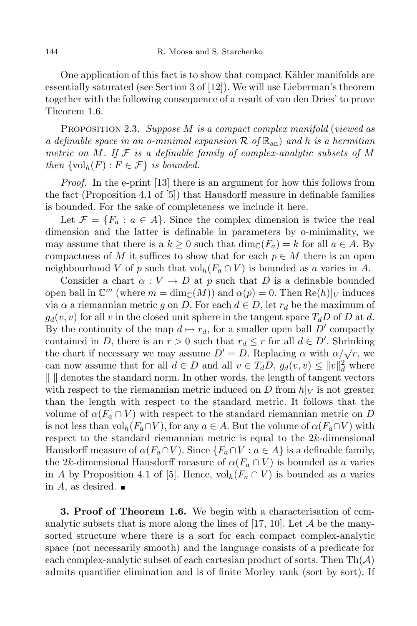One application of this fact is to show that compact Kähler manifolds are essentially saturated (see Section 3 of [12]). We will use Lieberman's theorem together with the following consequence of a result of van den Dries' to prove Theorem 1.6.

PROPOSITION 2.3. Suppose  $M$  is a compact complex manifold (viewed as a definable space in an o-minimal expansion  $\mathcal R$  of  $\mathbb R_{\rm an}$  and h is a hermitian metric on M. If  $\mathcal F$  is a definable family of complex-analytic subsets of M then  $\{\text{vol}_h(F) : F \in \mathcal{F}\}\$ is bounded.

*Proof.* In the e-print [13] there is an argument for how this follows from the fact (Proposition 4.1 of [5]) that Hausdorff measure in definable families is bounded. For the sake of completeness we include it here.

Let  $\mathcal{F} = \{F_a : a \in A\}$ . Since the complex dimension is twice the real dimension and the latter is definable in parameters by o-minimality, we may assume that there is a  $k \geq 0$  such that  $\dim_{\mathbb{C}}(F_a) = k$  for all  $a \in A$ . By compactness of M it suffices to show that for each  $p \in M$  there is an open neighbourhood V of p such that vol<sub>h</sub> $(F_a \cap V)$  is bounded as a varies in A.

Consider a chart  $\alpha: V \to D$  at p such that D is a definable bounded open ball in  $\mathbb{C}^m$  (where  $m = \dim_{\mathbb{C}}(M)$ ) and  $\alpha(p) = 0$ . Then  $\text{Re}(h)|_V$  induces via  $\alpha$  a riemannian metric g on D. For each  $d \in D$ , let  $r_d$  be the maximum of  $g_d(v, v)$  for all v in the closed unit sphere in the tangent space  $T_dD$  of D at d. By the continuity of the map  $d \mapsto r_d$ , for a smaller open ball D' compactly contained in D, there is an  $r > 0$  such that  $r_d \leq r$  for all  $d \in D'$ . Shrinking the chart if necessary we may assume  $D' = D$ . Replacing  $\alpha$  with  $\alpha/\sqrt{r}$ , we can now assume that for all  $d \in D$  and all  $v \in T_dD$ ,  $g_d(v, v) \leq ||v||_d^2$  where  $\| \cdot \|$  denotes the standard norm. In other words, the length of tangent vectors with respect to the riemannian metric induced on D from  $h|_V$  is not greater than the length with respect to the standard metric. It follows that the volume of  $\alpha(F_a \cap V)$  with respect to the standard riemannian metric on D is not less than  $\text{vol}_h(F_a \cap V)$ , for any  $a \in A$ . But the volume of  $\alpha(F_a \cap V)$  with respect to the standard riemannian metric is equal to the 2k-dimensional Hausdorff measure of  $\alpha(F_a \cap V)$ . Since  $\{F_a \cap V : a \in A\}$  is a definable family, the 2k-dimensional Hausdorff measure of  $\alpha(F_a \cap V)$  is bounded as a varies in A by Proposition 4.1 of [5]. Hence,  $\mathrm{vol}_h(F_a \cap V)$  is bounded as a varies in A, as desired.  $\blacksquare$ 

**3. Proof of Theorem 1.6.** We begin with a characterisation of ccmanalytic subsets that is more along the lines of  $[17, 10]$ . Let A be the manysorted structure where there is a sort for each compact complex-analytic space (not necessarily smooth) and the language consists of a predicate for each complex-analytic subset of each cartesian product of sorts. Then  $Th(\mathcal{A})$ admits quantifier elimination and is of finite Morley rank (sort by sort). If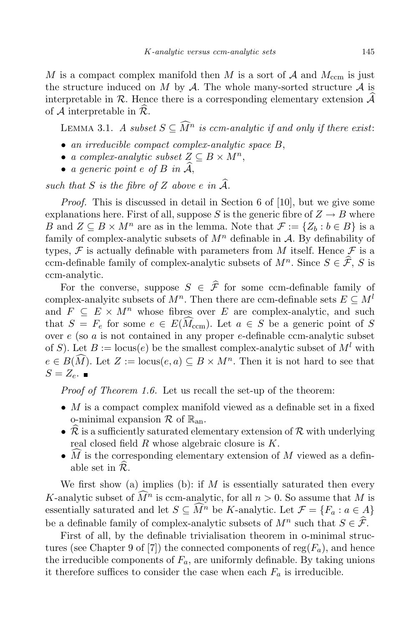M is a compact complex manifold then M is a sort of  $A$  and  $M_{\text{ccm}}$  is just the structure induced on  $M$  by  $\mathcal A$ . The whole many-sorted structure  $\mathcal A$  is interpretable in R. Hence there is a corresponding elementary extension  $\mathcal{A}$ of A interpretable in  $\mathcal{R}$ .

LEMMA 3.1. A subset  $S \subseteq \widehat{M}^n$  is com-analytic if and only if there exist:

- an irreducible compact complex-analytic space B,
- a complex-analytic subset  $Z \subseteq B \times M^n$ ,
- a generic point  $e$  of  $B$  in  $\mathcal{A},$

such that S is the fibre of Z above e in  $\widehat{A}$ .

Proof. This is discussed in detail in Section 6 of [10], but we give some explanations here. First of all, suppose S is the generic fibre of  $Z \rightarrow B$  where B and  $Z \subseteq B \times M^n$  are as in the lemma. Note that  $\mathcal{F} := \{Z_b : b \in B\}$  is a family of complex-analytic subsets of  $M<sup>n</sup>$  definable in A. By definability of types, F is actually definable with parameters from M itself. Hence F is a ccm-definable family of complex-analytic subsets of  $M^n$ . Since  $S \in \hat{\mathcal{F}}$ , S is ccm-analytic.

For the converse, suppose  $S \in \hat{\mathcal{F}}$  for some ccm-definable family of complex-analyitc subsets of  $M^n$ . Then there are ccm-definable sets  $E \subseteq M^l$ and  $F \subseteq E \times M^n$  whose fibres over E are complex-analytic, and such that  $S = F_e$  for some  $e \in E(\widehat{M}_{\text{ccm}})$ . Let  $a \in S$  be a generic point of S over  $e$  (so  $a$  is not contained in any proper  $e$ -definable ccm-analytic subset of S). Let  $B := \text{locus}(e)$  be the smallest complex-analytic subset of  $M^l$  with  $e \in B(\tilde{M})$ . Let  $Z := \text{locus}(e, a) \subseteq B \times M^n$ . Then it is not hard to see that  $S = Z_e$ .

*Proof of Theorem 1.6.* Let us recall the set-up of the theorem:

- $M$  is a compact complex manifold viewed as a definable set in a fixed o-minimal expansion  $\mathcal R$  of  $\mathbb R_{\text{an}}$ .
- $R$  is a sufficiently saturated elementary extension of  $R$  with underlying real closed field  $R$  whose algebraic closure is  $K$ .
- M is the corresponding elementary extension of M viewed as a definable set in  $\widehat{\mathcal{R}}$ .

We first show (a) implies (b): if  $M$  is essentially saturated then every K-analytic subset of  $\widehat{M}^n$  is ccm-analytic, for all  $n > 0$ . So assume that M is essentially saturated and let  $S \subseteq \widehat{M}^n$  be K-analytic. Let  $\mathcal{F} = \{F_a : a \in A\}$ be a definable family of complex-analytic subsets of  $M^n$  such that  $S \in \widehat{\mathcal{F}}$ .

First of all, by the definable trivialisation theorem in o-minimal structures (see Chapter 9 of [7]) the connected components of reg $(F_a)$ , and hence the irreducible components of  $F_a$ , are uniformly definable. By taking unions it therefore suffices to consider the case when each  $F_a$  is irreducible.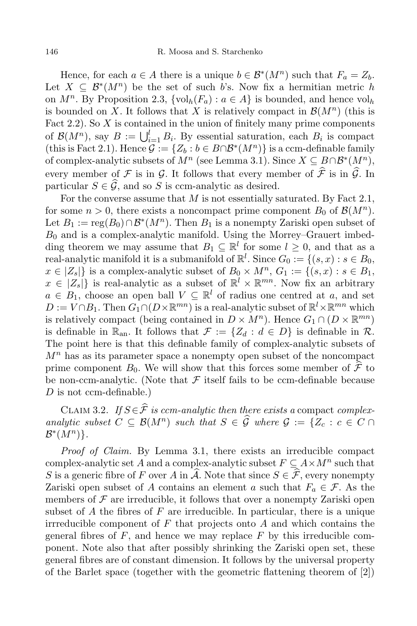Hence, for each  $a \in A$  there is a unique  $b \in \mathcal{B}^*(M^n)$  such that  $F_a = Z_b$ . Let  $X \subseteq \mathcal{B}^*(M^n)$  be the set of such b's. Now fix a hermitian metric h on  $M^n$ . By Proposition 2.3,  $\{\text{vol}_h(F_a) : a \in A\}$  is bounded, and hence  $\text{vol}_h$ is bounded on X. It follows that X is relatively compact in  $\mathcal{B}(M^n)$  (this is Fact 2.2). So  $X$  is contained in the union of finitely many prime components of  $\mathcal{B}(M^n)$ , say  $B := \bigcup_{i=1}^l B_i$ . By essential saturation, each  $B_i$  is compact (this is Fact 2.1). Hence  $\mathcal{G} := \{Z_b : b \in B \cap \mathcal{B}^*(M^n)\}$  is a ccm-definable family of complex-analytic subsets of  $M^n$  (see Lemma 3.1). Since  $X \subseteq B \cap \mathcal{B}^*(M^n)$ , every member of  $\mathcal F$  is in  $\mathcal G$ . It follows that every member of  $\widehat{\mathcal F}$  is in  $\widehat{\mathcal G}$ . In particular  $S \in \widehat{G}$ , and so S is ccm-analytic as desired.

For the converse assume that  $M$  is not essentially saturated. By Fact 2.1, for some  $n > 0$ , there exists a noncompact prime component  $B_0$  of  $\mathcal{B}(M^n)$ . Let  $B_1 := \text{reg}(B_0) \cap \mathcal{B}^*(M^n)$ . Then  $B_1$  is a nonempty Zariski open subset of  $B_0$  and is a complex-analytic manifold. Using the Morrey–Grauert imbedding theorem we may assume that  $B_1 \subseteq \mathbb{R}^l$  for some  $l \geq 0$ , and that as a real-analytic manifold it is a submanifold of  $\mathbb{R}^l$ . Since  $G_0 := \{(s, x) : s \in B_0,$  $x \in |Z_s|$  is a complex-analytic subset of  $B_0 \times M^n$ ,  $G_1 := \{(s, x) : s \in B_1,$  $x \in \{Z_s\}$  is real-analytic as a subset of  $\mathbb{R}^l \times \mathbb{R}^{mn}$ . Now fix an arbitrary  $a \in B_1$ , choose an open ball  $V \subseteq \mathbb{R}^l$  of radius one centred at a, and set  $D := V \cap B_1$ . Then  $G_1 \cap (D \times \mathbb{R}^{mn})$  is a real-analytic subset of  $\mathbb{R}^l \times \mathbb{R}^{mn}$  which is relatively compact (being contained in  $D \times M^n$ ). Hence  $G_1 \cap (D \times \mathbb{R}^{mn})$ is definable in  $\mathbb{R}_{\text{an}}$ . It follows that  $\mathcal{F} := \{Z_d : d \in D\}$  is definable in  $\mathcal{R}$ . The point here is that this definable family of complex-analytic subsets of  $M<sup>n</sup>$  has as its parameter space a nonempty open subset of the noncompact prime component  $B_0$ . We will show that this forces some member of  $\hat{\mathcal{F}}$  to be non-ccm-analytic. (Note that  $\mathcal F$  itself fails to be ccm-definable because  $D$  is not ccm-definable.)

CLAIM 3.2. If  $S \in \hat{\mathcal{F}}$  is ccm-analytic then there exists a compact complexanalytic subset  $C \subseteq \mathcal{B}(M^n)$  such that  $S \in \widehat{\mathcal{G}}$  where  $\mathcal{G} := \{Z_c : c \in C \cap \mathcal{G} \}$  $\mathcal{B}^*(M^n)\}.$ 

Proof of Claim. By Lemma 3.1, there exists an irreducible compact complex-analytic set A and a complex-analytic subset  $F \subseteq A \times M^n$  such that S is a generic fibre of F over A in  $\widehat{A}$ . Note that since  $S \in \widehat{\mathcal{F}}$ , every nonempty Zariski open subset of A contains an element a such that  $F_a \in \mathcal{F}$ . As the members of  $\mathcal F$  are irreducible, it follows that over a nonempty Zariski open subset of  $A$  the fibres of  $F$  are irreducible. In particular, there is a unique irrreducible component of  $F$  that projects onto  $A$  and which contains the general fibres of  $F$ , and hence we may replace  $F$  by this irreducible component. Note also that after possibly shrinking the Zariski open set, these general fibres are of constant dimension. It follows by the universal property of the Barlet space (together with the geometric flattening theorem of [2])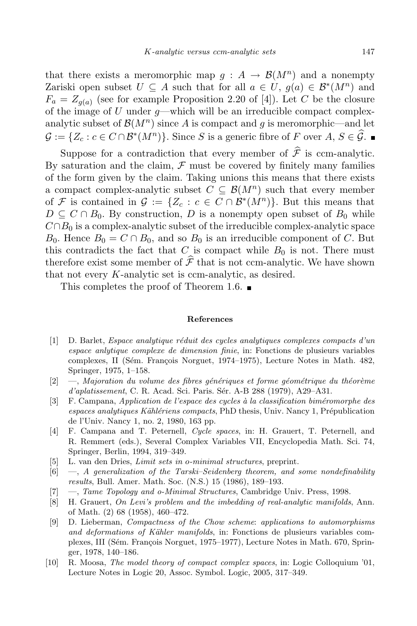that there exists a meromorphic map  $g : A \to \mathcal{B}(M^n)$  and a nonempty Zariski open subset  $U \subseteq A$  such that for all  $a \in U$ ,  $g(a) \in \mathcal{B}^*(M^n)$  and  $F_a = Z_{g(a)}$  (see for example Proposition 2.20 of [4]). Let C be the closure of the image of  $U$  under  $q$ —which will be an irreducible compact complexanalytic subset of  $\mathcal{B}(M^n)$  since A is compact and g is meromorphic—and let  $\mathcal{G} := \{Z_c : c \in C \cap \mathcal{B}^*(M^n)\}.$  Since S is a generic fibre of F over  $A, S \in \widehat{\mathcal{G}}.$ 

Suppose for a contradiction that every member of  $\hat{\mathcal{F}}$  is ccm-analytic. By saturation and the claim,  $\mathcal F$  must be covered by finitely many families of the form given by the claim. Taking unions this means that there exists a compact complex-analytic subset  $C \subseteq \mathcal{B}(M^n)$  such that every member of F is contained in  $\mathcal{G} := \{Z_c : c \in C \cap \mathcal{B}^*(M^n)\}\.$  But this means that  $D \subseteq C \cap B_0$ . By construction, D is a nonempty open subset of  $B_0$  while  $C \cap B_0$  is a complex-analytic subset of the irreducible complex-analytic space  $B_0$ . Hence  $B_0 = C \cap B_0$ , and so  $B_0$  is an irreducible component of C. But this contradicts the fact that C is compact while  $B_0$  is not. There must therefore exist some member of  $\hat{\mathcal{F}}$  that is not ccm-analytic. We have shown that not every K-analytic set is ccm-analytic, as desired.

This completes the proof of Theorem 1.6.

## References

- [1] D. Barlet, *Espace analytique réduit des cycles analytiques complexes compacts d'un* espace anlytique complexe de dimension finie, in: Fonctions de plusieurs variables complexes, II (Sém. François Norguet, 1974–1975), Lecture Notes in Math. 482, Springer, 1975, 1–158.
- $[2] \quad -$ , Majoration du volume des fibres génériques et forme géométrique du théorème d'aplatissement, C. R. Acad. Sci. Paris. Sér. A-B 288 (1979), A29–A31.
- $[3]$  F. Campana, Application de l'espace des cycles à la classification biméromorphe des espaces analytiques Kählériens compacts, PhD thesis, Univ. Nancy 1, Prépublication de l'Univ. Nancy 1, no. 2, 1980, 163 pp.
- [4] F. Campana and T. Peternell, Cycle spaces, in: H. Grauert, T. Peternell, and R. Remmert (eds.), Several Complex Variables VII, Encyclopedia Math. Sci. 74, Springer, Berlin, 1994, 319–349.
- [5] L. van den Dries, Limit sets in o-minimal structures, preprint.
- $[6] \quad -$ , A generalization of the Tarski–Seidenberg theorem, and some nondefinability results, Bull. Amer. Math. Soc. (N.S.) 15 (1986), 189–193.
- [7] —, Tame Topology and o-Minimal Structures, Cambridge Univ. Press, 1998.
- [8] H. Grauert, On Levi's problem and the imbedding of real-analytic manifolds, Ann. of Math. (2) 68 (1958), 460–472.
- [9] D. Lieberman, Compactness of the Chow scheme: applications to automorphisms and deformations of Kähler manifolds, in: Fonctions de plusieurs variables complexes, III (Sém. François Norguet, 1975–1977), Lecture Notes in Math. 670, Springer, 1978, 140–186.
- [10] R. Moosa, The model theory of compact complex spaces, in: Logic Colloquium '01, Lecture Notes in Logic 20, Assoc. Symbol. Logic, 2005, 317–349.